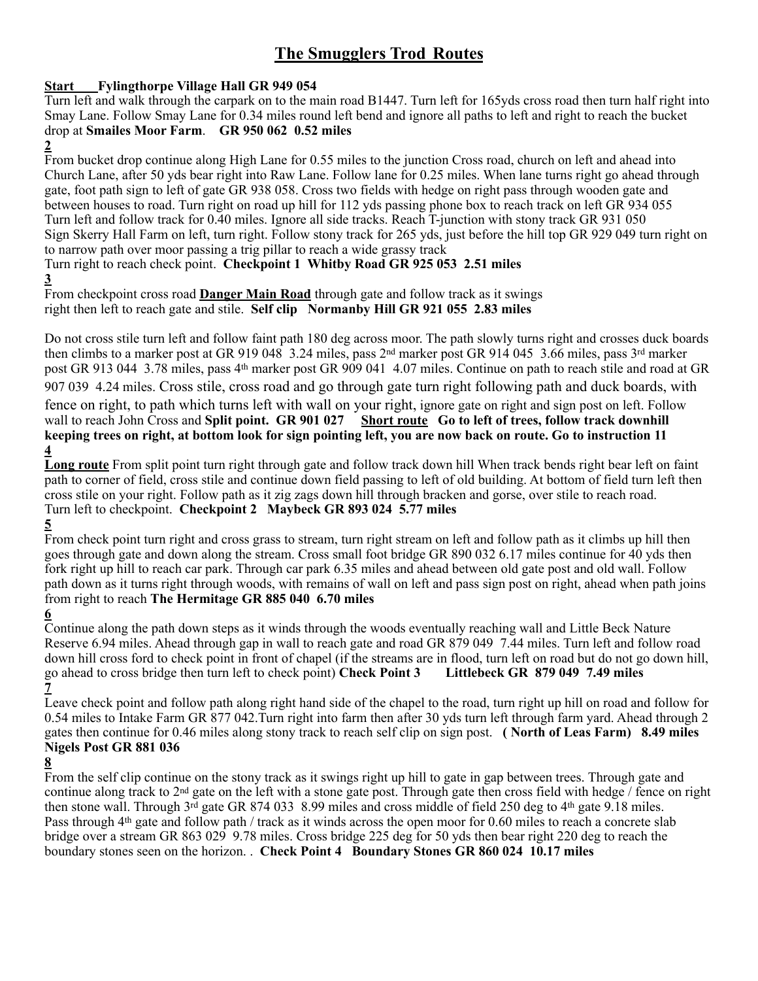# **The Smugglers Trod Routes**

#### **Start Fylingthorpe Village Hall GR 949 054**

Turn left and walk through the carpark on to the main road B1447. Turn left for 165yds cross road then turn half right into Smay Lane. Follow Smay Lane for 0.34 miles round left bend and ignore all paths to left and right to reach the bucket drop at **Smailes Moor Farm**. **GR 950 062 0.52 miles**

**2** 

From bucket drop continue along High Lane for 0.55 miles to the junction Cross road, church on left and ahead into Church Lane, after 50 yds bear right into Raw Lane. Follow lane for 0.25 miles. When lane turns right go ahead through gate, foot path sign to left of gate GR 938 058. Cross two fields with hedge on right pass through wooden gate and between houses to road. Turn right on road up hill for 112 yds passing phone box to reach track on left GR 934 055 Turn left and follow track for 0.40 miles. Ignore all side tracks. Reach T-junction with stony track GR 931 050 Sign Skerry Hall Farm on left, turn right. Follow stony track for 265 yds, just before the hill top GR 929 049 turn right on to narrow path over moor passing a trig pillar to reach a wide grassy track

Turn right to reach check point. **Checkpoint 1 Whitby Road GR 925 053 2.51 miles 3** 

From checkpoint cross road **Danger Main Road** through gate and follow track as it swings right then left to reach gate and stile. **Self clip Normanby Hill GR 921 055 2.83 miles** 

Do not cross stile turn left and follow faint path 180 deg across moor. The path slowly turns right and crosses duck boards then climbs to a marker post at GR 919 048 3.24 miles, pass 2nd marker post GR 914 045 3.66 miles, pass 3rd marker post GR 913 044 3.78 miles, pass 4th marker post GR 909 041 4.07 miles. Continue on path to reach stile and road at GR 907 039 4.24 miles. Cross stile, cross road and go through gate turn right following path and duck boards, with fence on right, to path which turns left with wall on your right, ignore gate on right and sign post on left. Follow wall to reach John Cross and Split point. GR 901 027 Short route Go to left of trees, follow track downhill **keeping trees on right, at bottom look for sign pointing left, you are now back on route. Go to instruction 11 4** 

**Long route** From split point turn right through gate and follow track down hill When track bends right bear left on faint path to corner of field, cross stile and continue down field passing to left of old building. At bottom of field turn left then cross stile on your right. Follow path as it zig zags down hill through bracken and gorse, over stile to reach road. Turn left to checkpoint. **Checkpoint 2 Maybeck GR 893 024 5.77 miles** 

**5** 

From check point turn right and cross grass to stream, turn right stream on left and follow path as it climbs up hill then goes through gate and down along the stream. Cross small foot bridge GR 890 032 6.17 miles continue for 40 yds then fork right up hill to reach car park. Through car park 6.35 miles and ahead between old gate post and old wall. Follow path down as it turns right through woods, with remains of wall on left and pass sign post on right, ahead when path joins from right to reach **The Hermitage GR 885 040 6.70 miles**

#### **6**

Continue along the path down steps as it winds through the woods eventually reaching wall and Little Beck Nature Reserve 6.94 miles. Ahead through gap in wall to reach gate and road GR 879 049 7.44 miles. Turn left and follow road down hill cross ford to check point in front of chapel (if the streams are in flood, turn left on road but do not go down hill, go ahead to cross bridge then turn left to check point) **Check Point 3 Littlebeck GR 879 049 7.49 miles 7** 

Leave check point and follow path along right hand side of the chapel to the road, turn right up hill on road and follow for 0.54 miles to Intake Farm GR 877 042.Turn right into farm then after 30 yds turn left through farm yard. Ahead through 2 gates then continue for 0.46 miles along stony track to reach self clip on sign post. **( North of Leas Farm) 8.49 miles Nigels Post GR 881 036**

#### **8**

From the self clip continue on the stony track as it swings right up hill to gate in gap between trees. Through gate and continue along track to  $2<sup>nd</sup>$  gate on the left with a stone gate post. Through gate then cross field with hedge / fence on right then stone wall. Through  $3\overline{rd}$  gate GR 874 033 8.99 miles and cross middle of field 250 deg to 4<sup>th</sup> gate 9.18 miles. Pass through 4<sup>th</sup> gate and follow path / track as it winds across the open moor for 0.60 miles to reach a concrete slab bridge over a stream GR 863 029 9.78 miles. Cross bridge 225 deg for 50 yds then bear right 220 deg to reach the boundary stones seen on the horizon. . **Check Point 4 Boundary Stones GR 860 024 10.17 miles**